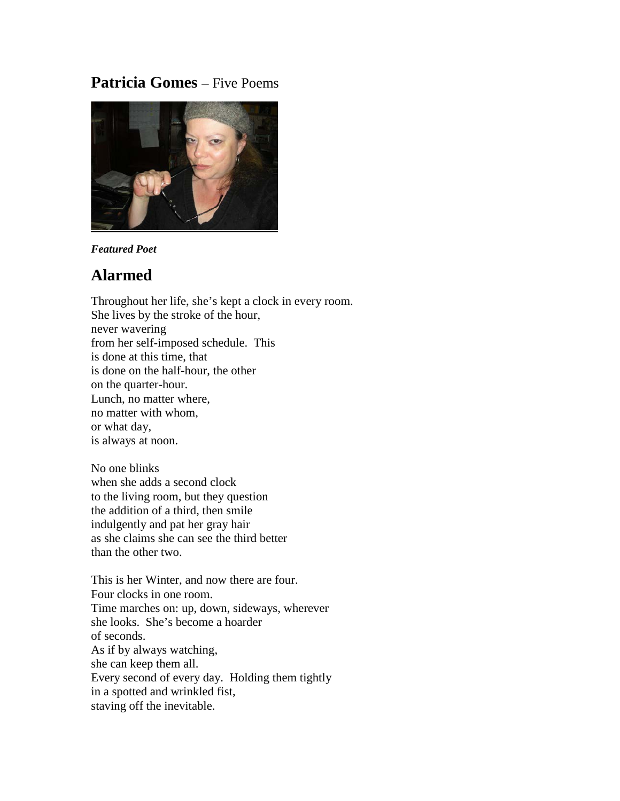# **Patricia Gomes** – Five Poems



#### *Featured Poet*

## **Alarmed**

Throughout her life, she's kept a clock in every room. She lives by the stroke of the hour, never wavering from her self-imposed schedule. This is done at this time, that is done on the half-hour, the other on the quarter-hour. Lunch, no matter where, no matter with whom, or what day, is always at noon.

No one blinks when she adds a second clock to the living room, but they question the addition of a third, then smile indulgently and pat her gray hair as she claims she can see the third better than the other two.

This is her Winter, and now there are four. Four clocks in one room. Time marches on: up, down, sideways, wherever she looks. She's become a hoarder of seconds. As if by always watching, she can keep them all. Every second of every day. Holding them tightly in a spotted and wrinkled fist, staving off the inevitable.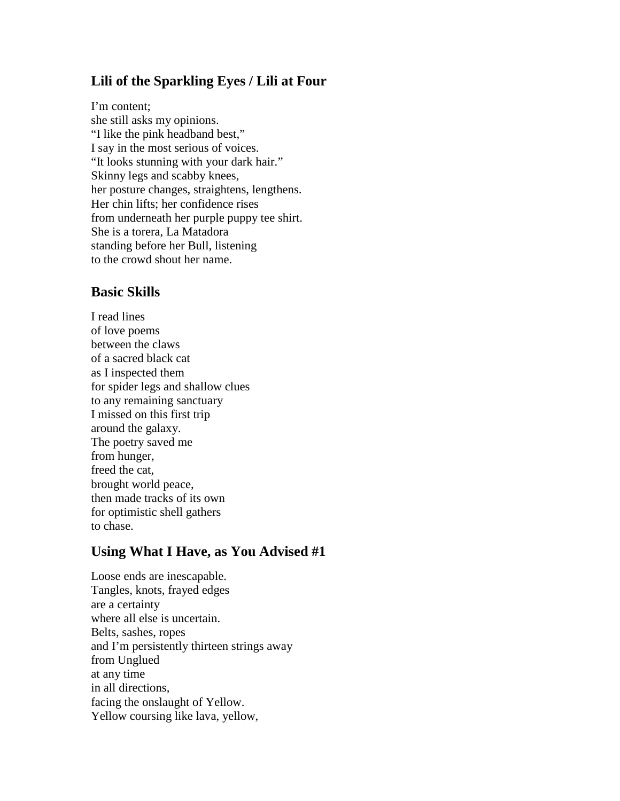## **Lili of the Sparkling Eyes / Lili at Four**

I'm content; she still asks my opinions. "I like the pink headband best," I say in the most serious of voices. "It looks stunning with your dark hair." Skinny legs and scabby knees, her posture changes, straightens, lengthens. Her chin lifts; her confidence rises from underneath her purple puppy tee shirt. She is a torera, La Matadora standing before her Bull, listening to the crowd shout her name.

### **Basic Skills**

I read lines of love poems between the claws of a sacred black cat as I inspected them for spider legs and shallow clues to any remaining sanctuary I missed on this first trip around the galaxy. The poetry saved me from hunger, freed the cat, brought world peace, then made tracks of its own for optimistic shell gathers to chase.

## **Using What I Have, as You Advised #1**

Loose ends are inescapable. Tangles, knots, frayed edges are a certainty where all else is uncertain. Belts, sashes, ropes and I'm persistently thirteen strings away from Unglued at any time in all directions, facing the onslaught of Yellow. Yellow coursing like lava, yellow,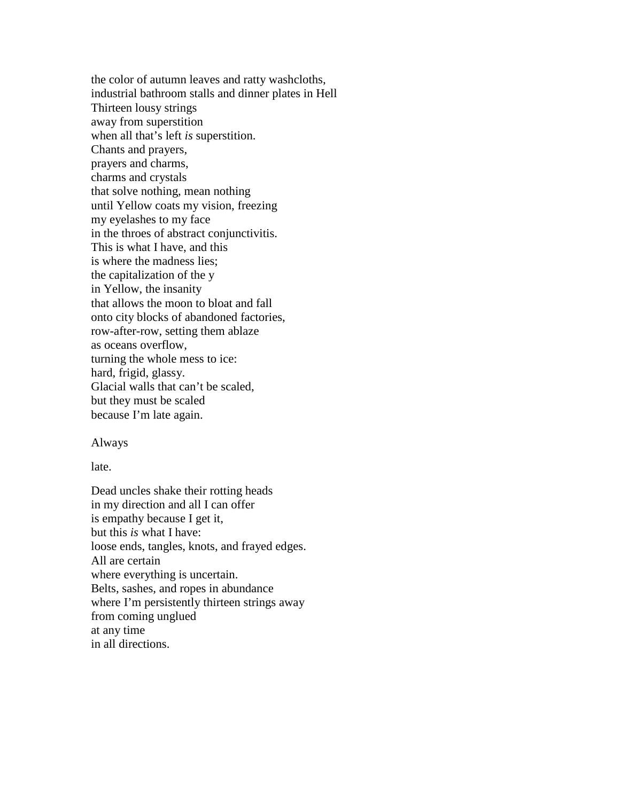the color of autumn leaves and ratty washcloths, industrial bathroom stalls and dinner plates in Hell Thirteen lousy strings away from superstition when all that's left *is* superstition. Chants and prayers, prayers and charms, charms and crystals that solve nothing, mean nothing until Yellow coats my vision, freezing my eyelashes to my face in the throes of abstract conjunctivitis. This is what I have, and this is where the madness lies; the capitalization of the y in Yellow, the insanity that allows the moon to bloat and fall onto city blocks of abandoned factories, row-after-row, setting them ablaze as oceans overflow, turning the whole mess to ice: hard, frigid, glassy. Glacial walls that can't be scaled, but they must be scaled because I'm late again.

#### Always

late.

Dead uncles shake their rotting heads in my direction and all I can offer is empathy because I get it, but this *is* what I have: loose ends, tangles, knots, and frayed edges. All are certain where everything is uncertain. Belts, sashes, and ropes in abundance where I'm persistently thirteen strings away from coming unglued at any time in all directions.